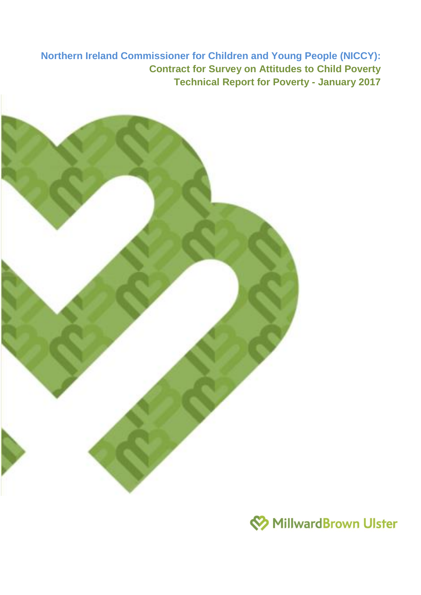**Northern Ireland Commissioner for Children and Young People (NICCY): Contract for Survey on Attitudes to Child Poverty Technical Report for Poverty - January 2017**



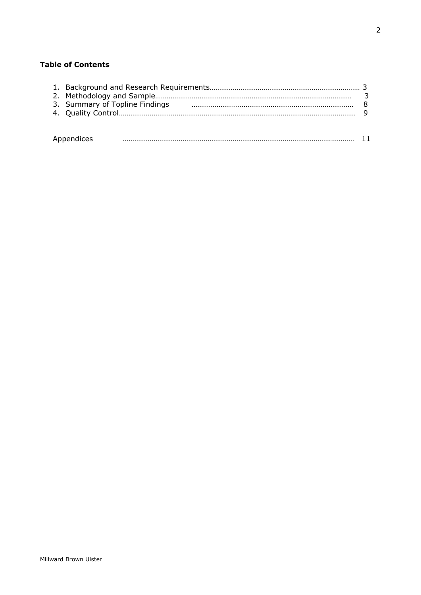# **Table of Contents**

|            | 3. Summary of Topline Findings |  |  |  |  |  |
|------------|--------------------------------|--|--|--|--|--|
|            |                                |  |  |  |  |  |
|            |                                |  |  |  |  |  |
|            |                                |  |  |  |  |  |
| Appendices |                                |  |  |  |  |  |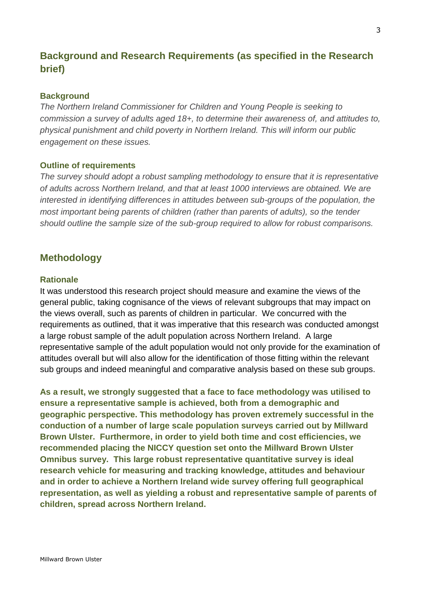# **Background and Research Requirements (as specified in the Research brief)**

## **Background**

*The Northern Ireland Commissioner for Children and Young People is seeking to commission a survey of adults aged 18+, to determine their awareness of, and attitudes to, physical punishment and child poverty in Northern Ireland. This will inform our public engagement on these issues.*

## **Outline of requirements**

*The survey should adopt a robust sampling methodology to ensure that it is representative of adults across Northern Ireland, and that at least 1000 interviews are obtained. We are interested in identifying differences in attitudes between sub-groups of the population, the most important being parents of children (rather than parents of adults), so the tender should outline the sample size of the sub-group required to allow for robust comparisons.* 

# **Methodology**

#### **Rationale**

It was understood this research project should measure and examine the views of the general public, taking cognisance of the views of relevant subgroups that may impact on the views overall, such as parents of children in particular. We concurred with the requirements as outlined, that it was imperative that this research was conducted amongst a large robust sample of the adult population across Northern Ireland. A large representative sample of the adult population would not only provide for the examination of attitudes overall but will also allow for the identification of those fitting within the relevant sub groups and indeed meaningful and comparative analysis based on these sub groups.

**As a result, we strongly suggested that a face to face methodology was utilised to ensure a representative sample is achieved, both from a demographic and geographic perspective. This methodology has proven extremely successful in the conduction of a number of large scale population surveys carried out by Millward Brown Ulster. Furthermore, in order to yield both time and cost efficiencies, we recommended placing the NICCY question set onto the Millward Brown Ulster Omnibus survey. This large robust representative quantitative survey is ideal research vehicle for measuring and tracking knowledge, attitudes and behaviour and in order to achieve a Northern Ireland wide survey offering full geographical representation, as well as yielding a robust and representative sample of parents of children, spread across Northern Ireland.**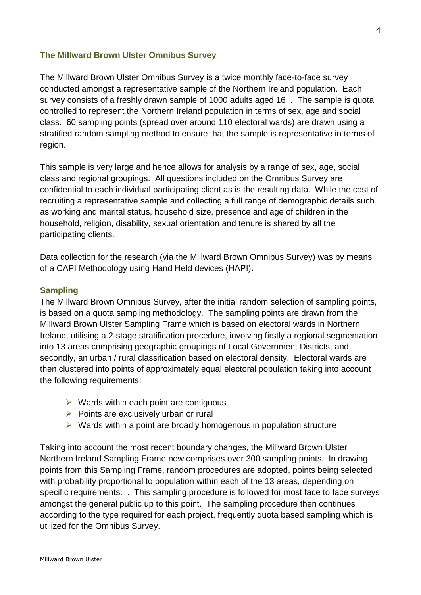## **The Millward Brown Ulster Omnibus Survey**

The Millward Brown Ulster Omnibus Survey is a twice monthly face-to-face survey conducted amongst a representative sample of the Northern Ireland population. Each survey consists of a freshly drawn sample of 1000 adults aged 16+. The sample is quota controlled to represent the Northern Ireland population in terms of sex, age and social class. 60 sampling points (spread over around 110 electoral wards) are drawn using a stratified random sampling method to ensure that the sample is representative in terms of region.

This sample is very large and hence allows for analysis by a range of sex, age, social class and regional groupings. All questions included on the Omnibus Survey are confidential to each individual participating client as is the resulting data. While the cost of recruiting a representative sample and collecting a full range of demographic details such as working and marital status, household size, presence and age of children in the household, religion, disability, sexual orientation and tenure is shared by all the participating clients.

Data collection for the research (via the Millward Brown Omnibus Survey) was by means of a CAPI Methodology using Hand Held devices (HAPI)**.** 

## **Sampling**

The Millward Brown Omnibus Survey, after the initial random selection of sampling points, is based on a quota sampling methodology. The sampling points are drawn from the Millward Brown Ulster Sampling Frame which is based on electoral wards in Northern Ireland, utilising a 2-stage stratification procedure, involving firstly a regional segmentation into 13 areas comprising geographic groupings of Local Government Districts, and secondly, an urban / rural classification based on electoral density. Electoral wards are then clustered into points of approximately equal electoral population taking into account the following requirements:

- $\triangleright$  Wards within each point are contiguous
- $\triangleright$  Points are exclusively urban or rural
- $\triangleright$  Wards within a point are broadly homogenous in population structure

Taking into account the most recent boundary changes, the Millward Brown Ulster Northern Ireland Sampling Frame now comprises over 300 sampling points. In drawing points from this Sampling Frame, random procedures are adopted, points being selected with probability proportional to population within each of the 13 areas, depending on specific requirements. . This sampling procedure is followed for most face to face surveys amongst the general public up to this point. The sampling procedure then continues according to the type required for each project, frequently quota based sampling which is utilized for the Omnibus Survey.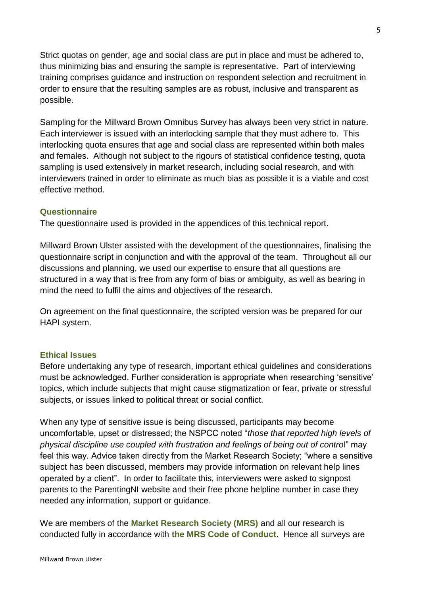Strict quotas on gender, age and social class are put in place and must be adhered to, thus minimizing bias and ensuring the sample is representative. Part of interviewing training comprises guidance and instruction on respondent selection and recruitment in order to ensure that the resulting samples are as robust, inclusive and transparent as possible.

Sampling for the Millward Brown Omnibus Survey has always been very strict in nature. Each interviewer is issued with an interlocking sample that they must adhere to. This interlocking quota ensures that age and social class are represented within both males and females. Although not subject to the rigours of statistical confidence testing, quota sampling is used extensively in market research, including social research, and with interviewers trained in order to eliminate as much bias as possible it is a viable and cost effective method.

## **Questionnaire**

The questionnaire used is provided in the appendices of this technical report.

Millward Brown Ulster assisted with the development of the questionnaires, finalising the questionnaire script in conjunction and with the approval of the team. Throughout all our discussions and planning, we used our expertise to ensure that all questions are structured in a way that is free from any form of bias or ambiguity, as well as bearing in mind the need to fulfil the aims and objectives of the research.

On agreement on the final questionnaire, the scripted version was be prepared for our HAPI system.

## **Ethical Issues**

Before undertaking any type of research, important ethical guidelines and considerations must be acknowledged. Further consideration is appropriate when researching 'sensitive' topics, which include subjects that might cause stigmatization or fear, private or stressful subjects, or issues linked to political threat or social conflict.

When any type of sensitive issue is being discussed, participants may become uncomfortable, upset or distressed; the NSPCC noted "*those that reported high levels of physical discipline use coupled with frustration and feelings of being out of contro*l" may feel this way. Advice taken directly from the Market Research Society; "where a sensitive subject has been discussed, members may provide information on relevant help lines operated by a client". In order to facilitate this, interviewers were asked to signpost parents to the ParentingNI website and their free phone helpline number in case they needed any information, support or guidance.

We are members of the **Market Research Society (MRS)** and all our research is conducted fully in accordance with **the MRS Code of Conduct**. Hence all surveys are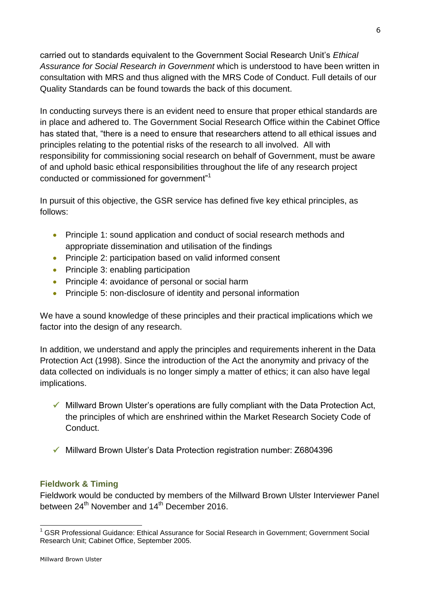carried out to standards equivalent to the Government Social Research Unit's *Ethical Assurance for Social Research in Government* which is understood to have been written in consultation with MRS and thus aligned with the MRS Code of Conduct. Full details of our Quality Standards can be found towards the back of this document.

In conducting surveys there is an evident need to ensure that proper ethical standards are in place and adhered to. The Government Social Research Office within the Cabinet Office has stated that, "there is a need to ensure that researchers attend to all ethical issues and principles relating to the potential risks of the research to all involved. All with responsibility for commissioning social research on behalf of Government, must be aware of and uphold basic ethical responsibilities throughout the life of any research project conducted or commissioned for government"<sup>1</sup>

In pursuit of this objective, the GSR service has defined five key ethical principles, as follows:

- Principle 1: sound application and conduct of social research methods and appropriate dissemination and utilisation of the findings
- Principle 2: participation based on valid informed consent
- Principle 3: enabling participation
- Principle 4: avoidance of personal or social harm
- Principle 5: non-disclosure of identity and personal information

We have a sound knowledge of these principles and their practical implications which we factor into the design of any research.

In addition, we understand and apply the principles and requirements inherent in the Data Protection Act (1998). Since the introduction of the Act the anonymity and privacy of the data collected on individuals is no longer simply a matter of ethics; it can also have legal implications.

- $\checkmark$  Millward Brown Ulster's operations are fully compliant with the Data Protection Act, the principles of which are enshrined within the Market Research Society Code of Conduct.
- Millward Brown Ulster's Data Protection registration number: Z6804396

# **Fieldwork & Timing**

Fieldwork would be conducted by members of the Millward Brown Ulster Interviewer Panel between 24<sup>th</sup> November and 14<sup>th</sup> December 2016.

<sup>-</sup><sup>1</sup> GSR Professional Guidance: Ethical Assurance for Social Research in Government; Government Social Research Unit; Cabinet Office, September 2005.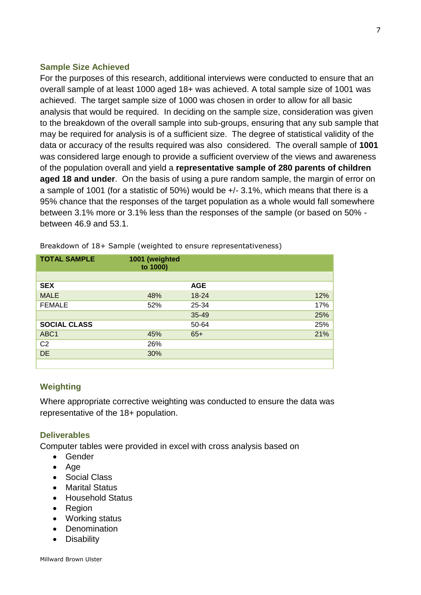## **Sample Size Achieved**

For the purposes of this research, additional interviews were conducted to ensure that an overall sample of at least 1000 aged 18+ was achieved. A total sample size of 1001 was achieved. The target sample size of 1000 was chosen in order to allow for all basic analysis that would be required. In deciding on the sample size, consideration was given to the breakdown of the overall sample into sub-groups, ensuring that any sub sample that may be required for analysis is of a sufficient size. The degree of statistical validity of the data or accuracy of the results required was also considered. The overall sample of **1001** was considered large enough to provide a sufficient overview of the views and awareness of the population overall and yield a **representative sample of 280 parents of children aged 18 and under**. On the basis of using a pure random sample, the margin of error on a sample of 1001 (for a statistic of 50%) would be +/- 3.1%, which means that there is a 95% chance that the responses of the target population as a whole would fall somewhere between 3.1% more or 3.1% less than the responses of the sample (or based on 50% between 46.9 and 53.1.

| <b>TOTAL SAMPLE</b> | 1001 (weighted<br>to 1000) |            |     |
|---------------------|----------------------------|------------|-----|
|                     |                            |            |     |
| <b>SEX</b>          |                            | <b>AGE</b> |     |
| <b>MALE</b>         | 48%                        | $18 - 24$  | 12% |
| <b>FEMALE</b>       | 52%                        | 25-34      | 17% |
|                     |                            | 35-49      | 25% |
| <b>SOCIAL CLASS</b> |                            | 50-64      | 25% |
| ABC <sub>1</sub>    | 45%                        | $65+$      | 21% |
| C <sub>2</sub>      | 26%                        |            |     |
| <b>DE</b>           | 30%                        |            |     |
|                     |                            |            |     |

Breakdown of 18+ Sample (weighted to ensure representativeness)

# **Weighting**

Where appropriate corrective weighting was conducted to ensure the data was representative of the 18+ population.

# **Deliverables**

Computer tables were provided in excel with cross analysis based on

- Gender
- Age
- Social Class
- Marital Status
- Household Status
- Region
- Working status
- Denomination
- Disability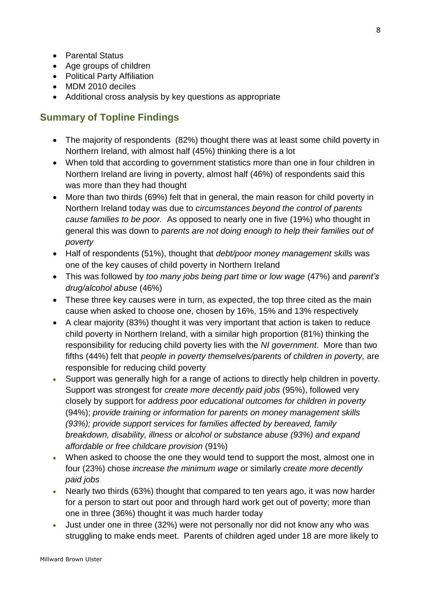- Parental Status
- Age groups of children
- Political Party Affiliation
- MDM 2010 deciles
- Additional cross analysis by key questions as appropriate

# **Summary of Topline Findings**

- The majority of respondents (82%) thought there was at least some child poverty in Northern Ireland, with almost half (45%) thinking there is a lot
- When told that according to government statistics more than one in four children in Northern Ireland are living in poverty, almost half (46%) of respondents said this was more than they had thought
- More than two thirds (69%) felt that in general, the main reason for child poverty in Northern Ireland today was due to *circumstances beyond the control of parents cause families to be poor.* As opposed to nearly one in five (19%) who thought in general this was down to *parents are not doing enough to help their families out of poverty*
- Half of respondents (51%), thought that *debt/poor money management skills* was one of the key causes of child poverty in Northern Ireland
- This was followed by *too many jobs being part time or low wage* (47%) and *parent's drug/alcohol abuse* (46%)
- These three key causes were in turn, as expected, the top three cited as the main cause when asked to choose one, chosen by 16%, 15% and 13% respectively
- A clear majority (83%) thought it was very important that action is taken to reduce child poverty in Northern Ireland, with a similar high proportion (81%) thinking the responsibility for reducing child poverty lies with the *NI government*. More than two fifths (44%) felt that *people in poverty themselves/parents of children in poverty,* are responsible for reducing child poverty
- Support was generally high for a range of actions to directly help children in poverty. Support was strongest for *create more decently paid jobs* (95%), followed very closely by support for *address poor educational outcomes for children in poverty*  (94%); *provide training or information for parents on money management skills (93%); provide support services for families affected by bereaved, family breakdown, disability, illness or alcohol or substance abuse (93%) and expand affordable or free childcare provision* (91%)
- When asked to choose the one they would tend to support the most, almost one in four (23%) chose *increase the minimum wage* or similarly *create more decently paid jobs*
- Nearly two thirds (63%) thought that compared to ten years ago, it was now harder for a person to start out poor and through hard work get out of poverty; more than one in three (36%) thought it was much harder today
- Just under one in three (32%) were not personally nor did not know any who was struggling to make ends meet. Parents of children aged under 18 are more likely to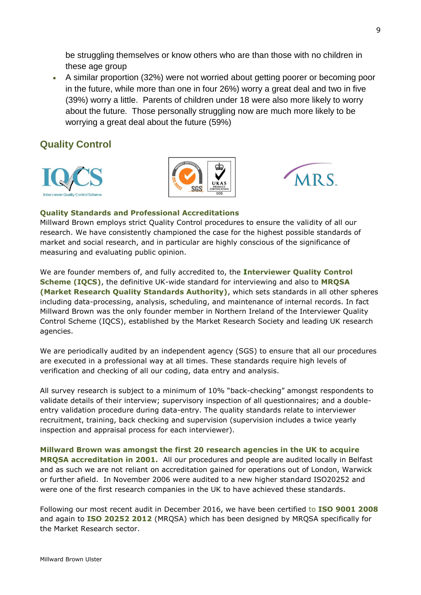be struggling themselves or know others who are than those with no children in these age group

 A similar proportion (32%) were not worried about getting poorer or becoming poor in the future, while more than one in four 26%) worry a great deal and two in five (39%) worry a little. Parents of children under 18 were also more likely to worry about the future. Those personally struggling now are much more likely to be worrying a great deal about the future (59%)

# **Quality Control**







#### **Quality Standards and Professional Accreditations**

Millward Brown employs strict Quality Control procedures to ensure the validity of all our research. We have consistently championed the case for the highest possible standards of market and social research, and in particular are highly conscious of the significance of measuring and evaluating public opinion.

We are founder members of, and fully accredited to, the **Interviewer Quality Control Scheme (IQCS)**, the definitive UK-wide standard for interviewing and also to **MRQSA (Market Research Quality Standards Authority)**, which sets standards in all other spheres including data-processing, analysis, scheduling, and maintenance of internal records. In fact Millward Brown was the only founder member in Northern Ireland of the Interviewer Quality Control Scheme (IQCS), established by the Market Research Society and leading UK research agencies.

We are periodically audited by an independent agency (SGS) to ensure that all our procedures are executed in a professional way at all times. These standards require high levels of verification and checking of all our coding, data entry and analysis.

All survey research is subject to a minimum of 10% "back-checking" amongst respondents to validate details of their interview; supervisory inspection of all questionnaires; and a doubleentry validation procedure during data-entry. The quality standards relate to interviewer recruitment, training, back checking and supervision (supervision includes a twice yearly inspection and appraisal process for each interviewer).

**Millward Brown was amongst the first 20 research agencies in the UK to acquire MRQSA accreditation in 2001.** All our procedures and people are audited locally in Belfast and as such we are not reliant on accreditation gained for operations out of London, Warwick or further afield. In November 2006 were audited to a new higher standard ISO20252 and were one of the first research companies in the UK to have achieved these standards.

Following our most recent audit in December 2016, we have been certified to **ISO 9001 2008** and again to **ISO 20252 2012** (MRQSA) which has been designed by MRQSA specifically for the Market Research sector.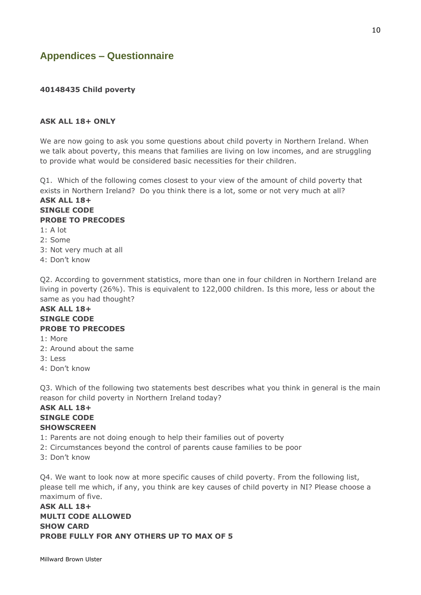# **Appendices – Questionnaire**

#### **40148435 Child poverty**

#### **ASK ALL 18+ ONLY**

We are now going to ask you some questions about child poverty in Northern Ireland. When we talk about poverty, this means that families are living on low incomes, and are struggling to provide what would be considered basic necessities for their children.

Q1. Which of the following comes closest to your view of the amount of child poverty that exists in Northern Ireland? Do you think there is a lot, some or not very much at all? **ASK ALL 18+**

#### **SINGLE CODE PROBE TO PRECODES**

- 1: A lot
- 2: Some
- 3: Not very much at all
- 4: Don't know

Q2. According to government statistics, more than one in four children in Northern Ireland are living in poverty (26%). This is equivalent to 122,000 children. Is this more, less or about the same as you had thought?

#### **ASK ALL 18+ SINGLE CODE PROBE TO PRECODES**

- 1: More
- 2: Around about the same
- 3: Less
- 4: Don't know

Q3. Which of the following two statements best describes what you think in general is the main reason for child poverty in Northern Ireland today?

## **ASK ALL 18+ SINGLE CODE SHOWSCREEN**

- 1: Parents are not doing enough to help their families out of poverty
- 2: Circumstances beyond the control of parents cause families to be poor
- 3: Don't know

Q4. We want to look now at more specific causes of child poverty. From the following list, please tell me which, if any, you think are key causes of child poverty in NI? Please choose a maximum of five.

**ASK ALL 18+ MULTI CODE ALLOWED SHOW CARD PROBE FULLY FOR ANY OTHERS UP TO MAX OF 5**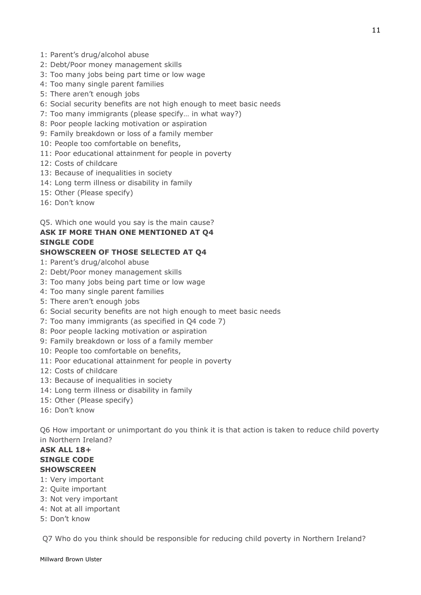- 1: Parent's drug/alcohol abuse
- 2: Debt/Poor money management skills
- 3: Too many jobs being part time or low wage
- 4: Too many single parent families
- 5: There aren't enough jobs
- 6: Social security benefits are not high enough to meet basic needs
- 7: Too many immigrants (please specify… in what way?)
- 8: Poor people lacking motivation or aspiration
- 9: Family breakdown or loss of a family member
- 10: People too comfortable on benefits,
- 11: Poor educational attainment for people in poverty
- 12: Costs of childcare
- 13: Because of inequalities in society
- 14: Long term illness or disability in family
- 15: Other (Please specify)
- 16: Don't know

Q5. Which one would you say is the main cause?

# **ASK IF MORE THAN ONE MENTIONED AT Q4 SINGLE CODE**

## **SHOWSCREEN OF THOSE SELECTED AT Q4**

- 1: Parent's drug/alcohol abuse
- 2: Debt/Poor money management skills
- 3: Too many jobs being part time or low wage
- 4: Too many single parent families
- 5: There aren't enough jobs
- 6: Social security benefits are not high enough to meet basic needs
- 7: Too many immigrants (as specified in Q4 code 7)
- 8: Poor people lacking motivation or aspiration
- 9: Family breakdown or loss of a family member
- 10: People too comfortable on benefits,
- 11: Poor educational attainment for people in poverty
- 12: Costs of childcare
- 13: Because of inequalities in society
- 14: Long term illness or disability in family
- 15: Other (Please specify)
- 16: Don't know

Q6 How important or unimportant do you think it is that action is taken to reduce child poverty in Northern Ireland?

## **ASK ALL 18+ SINGLE CODE SHOWSCREEN**

- 1: Very important
- 2: Quite important
- 3: Not very important
- 4: Not at all important
- 5: Don't know

Q7 Who do you think should be responsible for reducing child poverty in Northern Ireland?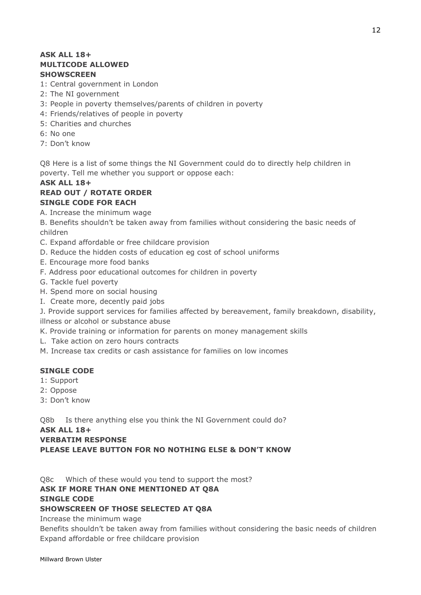## **ASK ALL 18+ MULTICODE ALLOWED SHOWSCREEN**

- 1: Central government in London
- 2: The NI government
- 3: People in poverty themselves/parents of children in poverty
- 4: Friends/relatives of people in poverty
- 5: Charities and churches
- 6: No one
- 7: Don't know

Q8 Here is a list of some things the NI Government could do to directly help children in poverty. Tell me whether you support or oppose each:

## **ASK ALL 18+**

#### **READ OUT / ROTATE ORDER SINGLE CODE FOR EACH**

A. Increase the minimum wage

B. Benefits shouldn't be taken away from families without considering the basic needs of children

- C. Expand affordable or free childcare provision
- D. Reduce the hidden costs of education eg cost of school uniforms
- E. Encourage more food banks
- F. Address poor educational outcomes for children in poverty
- G. Tackle fuel poverty
- H. Spend more on social housing
- I. Create more, decently paid jobs

J. Provide support services for families affected by bereavement, family breakdown, disability, illness or alcohol or substance abuse

- K. Provide training or information for parents on money management skills
- L. Take action on zero hours contracts

M. Increase tax credits or cash assistance for families on low incomes

## **SINGLE CODE**

- 1: Support
- 2: Oppose
- 3: Don't know

Q8b Is there anything else you think the NI Government could do?

#### **ASK ALL 18+**

#### **VERBATIM RESPONSE**

**PLEASE LEAVE BUTTON FOR NO NOTHING ELSE & DON'T KNOW**

Q8c Which of these would you tend to support the most?

# **ASK IF MORE THAN ONE MENTIONED AT Q8A**

#### **SINGLE CODE**

## **SHOWSCREEN OF THOSE SELECTED AT Q8A**

Increase the minimum wage

Benefits shouldn't be taken away from families without considering the basic needs of children Expand affordable or free childcare provision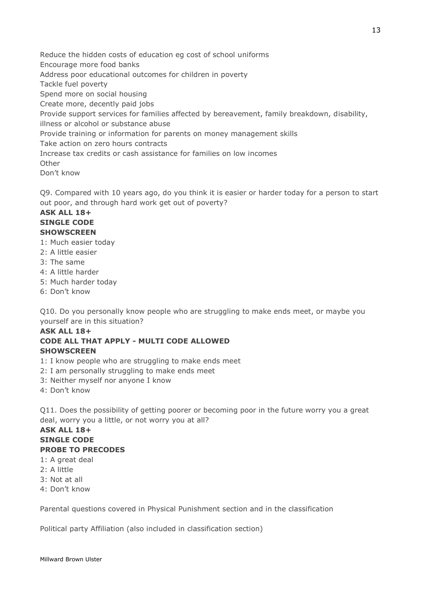Reduce the hidden costs of education eg cost of school uniforms Encourage more food banks Address poor educational outcomes for children in poverty Tackle fuel poverty Spend more on social housing Create more, decently paid jobs Provide support services for families affected by bereavement, family breakdown, disability, illness or alcohol or substance abuse Provide training or information for parents on money management skills Take action on zero hours contracts Increase tax credits or cash assistance for families on low incomes **Other** Don't know

Q9. Compared with 10 years ago, do you think it is easier or harder today for a person to start out poor, and through hard work get out of poverty?

## **ASK ALL 18+ SINGLE CODE SHOWSCREEN**

- 1: Much easier today
- 2: A little easier
- 3: The same
- 4: A little harder
- 5: Much harder today
- 6: Don't know

Q10. Do you personally know people who are struggling to make ends meet, or maybe you yourself are in this situation?

#### **ASK ALL 18+ CODE ALL THAT APPLY - MULTI CODE ALLOWED SHOWSCREEN**

- 1: I know people who are struggling to make ends meet
- 2: I am personally struggling to make ends meet
- 3: Neither myself nor anyone I know
- 4: Don't know

Q11. Does the possibility of getting poorer or becoming poor in the future worry you a great deal, worry you a little, or not worry you at all?

# **ASK ALL 18+ SINGLE CODE PROBE TO PRECODES**

- 1: A great deal
- 2: A little
- 3: Not at all
- 4: Don't know

Parental questions covered in Physical Punishment section and in the classification

Political party Affiliation (also included in classification section)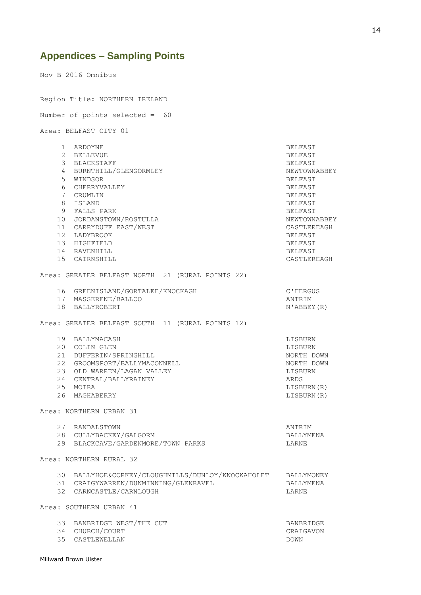# **Appendices – Sampling Points**

Nov B 2016 Omnibus Region Title: NORTHERN IRELAND Number of points selected = 60 Area: BELFAST CITY 01 1 ARDOYNE BELFAST 2 BELLEVUE BELFAST 3 BLACKSTAFF BELEVILLE STATES AND RELEAST ASSESSMENT BELFAST 4 BURNTHILL/GLENGORMLEY NEWTOWNABBEY 5 WINDSOR BELFAST 6 CHERRYVALLEY BELFAST 7 CRUMLIN BELFAST 8 ISLAND BELFAST 9 FALLS PARK BELFAST 10 JORDANSTOWN/ROSTULLA NEWTOWNABBEY 11 CARRYDUFF EAST/WEST CASTLEREAGH 12 LADYBROOK BELFAST 13 HIGHFIELD BELFAST 14 RAVENHILL BELFAST 15 CAIRNSHILL CASTLEREAGH Area: GREATER BELFAST NORTH 21 (RURAL POINTS 22) 16 GREENISLAND/GORTALEE/KNOCKAGH C'FERGUS 17 MASSERENE/BALLOO ANTRIM 18 BALLYROBERT N'ABBEY(R) Area: GREATER BELFAST SOUTH 11 (RURAL POINTS 12) 19 BALLYMACASH LISBURN 20 COLIN GLEN LISBURN 21 DUFFERIN/SPRINGHILL 21 NORTH DOWN 22 GROOMSPORT/BALLYMACONNELL NORTH DOWN 23 OLD WARREN/LAGAN VALLEY LISBURN 24 CENTRAL/BALLYRAINEY ARDS 25 MOIRA LISBURN(R) 26 MAGHABERRY LISBURN(R) Area: NORTHERN URBAN 31 27 RANDALSTOWN ANTRIM 28 CULLYBACKEY/GALGORM BALLYMENA 29 BLACKCAVE/GARDENMORE/TOWN PARKS LARNE Area: NORTHERN RURAL 32 30 BALLYHOE&CORKEY/CLOUGHMILLS/DUNLOY/KNOCKAHOLET BALLYMONEY 31 CRAIGYWARREN/DUNMINNING/GLENRAVEL BALLYMENA<br>32 CARNCASTLE/CARNLOUGH BALLYMENA 32 CARNCASTLE/CARNLOUGH Area: SOUTHERN URBAN 41 33 BANBRIDGE WEST/THE CUT BANBRIDGE 34 CHURCH/COURT CRAIGAVON 35 CASTLEWELLAN DOWN